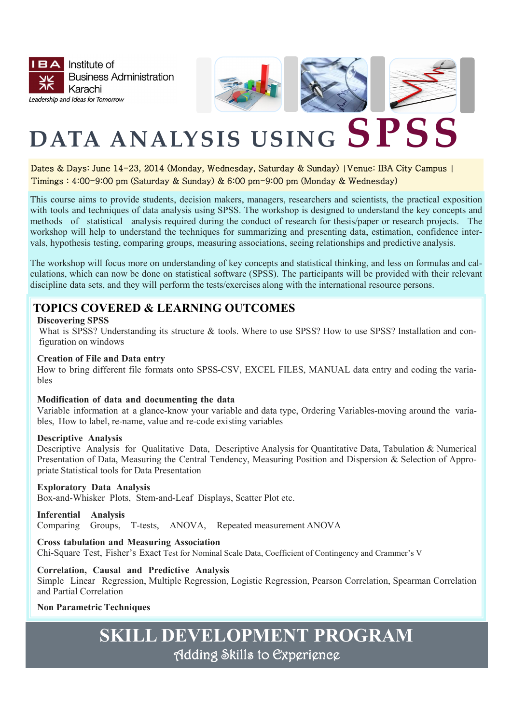



# **DATA ANALYSIS USING SPSS**

#### Dates & Days: June 14-23, 2014 (Monday, Wednesday, Saturday & Sunday) **|**Venue: IBA City Campus **|** Timings : 4:00-9:00 pm (Saturday & Sunday) & 6:00 pm-9:00 pm (Monday & Wednesday)

This course aims to provide students, decision makers, managers, researchers and scientists, the practical exposition with tools and techniques of data analysis using SPSS. The workshop is designed to understand the key concepts and methods of statistical analysis required during the conduct of research for thesis/paper or research projects. The workshop will help to understand the techniques for summarizing and presenting data, estimation, confidence intervals, hypothesis testing, comparing groups, measuring associations, seeing relationships and predictive analysis.

The workshop will focus more on understanding of key concepts and statistical thinking, and less on formulas and calculations, which can now be done on statistical software (SPSS). The participants will be provided with their relevant discipline data sets, and they will perform the tests/exercises along with the international resource persons.

## **TOPICS COVERED & LEARNING OUTCOMES**

#### **Discovering SPSS**

What is SPSS? Understanding its structure & tools. Where to use SPSS? How to use SPSS? Installation and configuration on windows

#### **Creation of File and Data entry**

How to bring different file formats onto SPSS-CSV, EXCEL FILES, MANUAL data entry and coding the variables

#### **Modification of data and documenting the data**

Variable information at a glance-know your variable and data type, Ordering Variables-moving around the variables, How to label, re-name, value and re-code existing variables

#### **Descriptive Analysis**

Descriptive Analysis for Qualitative Data, Descriptive Analysis for Quantitative Data, Tabulation & Numerical Presentation of Data, Measuring the Central Tendency, Measuring Position and Dispersion & Selection of Appropriate Statistical tools for Data Presentation

#### **Exploratory Data Analysis**

Box-and-Whisker Plots, Stem-and-Leaf Displays, Scatter Plot etc.

#### **Inferential Analysis**

Comparing Groups, T-tests, ANOVA, Repeated measurement ANOVA

#### **Cross tabulation and Measuring Association**

Chi-Square Test, Fisher's Exact Test for Nominal Scale Data, Coefficient of Contingency and Crammer's V

#### **Correlation, Causal and Predictive Analysis**

Simple Linear Regression, Multiple Regression, Logistic Regression, Pearson Correlation, Spearman Correlation and Partial Correlation

#### **Non Parametric Techniques**

# **SKILL DEVELOPMENT PROGRAM** Adding Skills to Experience